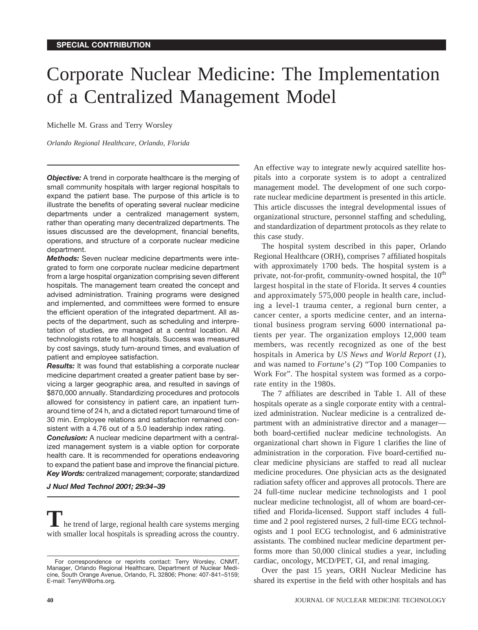# Corporate Nuclear Medicine: The Implementation of a Centralized Management Model

Michelle M. Grass and Terry Worsley

*Orlando Regional Healthcare, Orlando, Florida*

**Objective:** A trend in corporate healthcare is the merging of small community hospitals with larger regional hospitals to expand the patient base. The purpose of this article is to illustrate the benefits of operating several nuclear medicine departments under a centralized management system, rather than operating many decentralized departments. The issues discussed are the development, financial benefits, operations, and structure of a corporate nuclear medicine department.

*Methods:* Seven nuclear medicine departments were integrated to form one corporate nuclear medicine department from a large hospital organization comprising seven different hospitals. The management team created the concept and advised administration. Training programs were designed and implemented, and committees were formed to ensure the efficient operation of the integrated department. All aspects of the department, such as scheduling and interpretation of studies, are managed at a central location. All technologists rotate to all hospitals. Success was measured by cost savings, study turn-around times, and evaluation of patient and employee satisfaction.

*Results:* It was found that establishing a corporate nuclear medicine department created a greater patient base by servicing a larger geographic area, and resulted in savings of \$870,000 annually. Standardizing procedures and protocols allowed for consistency in patient care, an inpatient turnaround time of 24 h, and a dictated report turnaround time of 30 min. Employee relations and satisfaction remained consistent with a 4.76 out of a 5.0 leadership index rating.

*Conclusion:* A nuclear medicine department with a centralized management system is a viable option for corporate health care. It is recommended for operations endeavoring to expand the patient base and improve the financial picture. *Key Words:* centralized management; corporate; standardized

*J Nucl Med Technol 2001; 29:34–39*

**T**he trend of large, regional health care systems merging with smaller local hospitals is spreading across the country. An effective way to integrate newly acquired satellite hospitals into a corporate system is to adopt a centralized management model. The development of one such corporate nuclear medicine department is presented in this article. This article discusses the integral developmental issues of organizational structure, personnel staffing and scheduling, and standardization of department protocols as they relate to this case study.

The hospital system described in this paper, Orlando Regional Healthcare (ORH), comprises 7 affiliated hospitals with approximately 1700 beds. The hospital system is a private, not-for-profit, community-owned hospital, the  $10<sup>th</sup>$ largest hospital in the state of Florida. It serves 4 counties and approximately 575,000 people in health care, including a level-1 trauma center, a regional burn center, a cancer center, a sports medicine center, and an international business program serving 6000 international patients per year. The organization employs 12,000 team members, was recently recognized as one of the best hospitals in America by *US News and World Report* (*1*), and was named to *Fortune*'s (*2*) "Top 100 Companies to Work For". The hospital system was formed as a corporate entity in the 1980s.

The 7 affiliates are described in Table 1. All of these hospitals operate as a single corporate entity with a centralized administration. Nuclear medicine is a centralized department with an administrative director and a manager both board-certified nuclear medicine technologists. An organizational chart shown in Figure 1 clarifies the line of administration in the corporation. Five board-certified nuclear medicine physicians are staffed to read all nuclear medicine procedures. One physician acts as the designated radiation safety officer and approves all protocols. There are 24 full-time nuclear medicine technologists and 1 pool nuclear medicine technologist, all of whom are board-certified and Florida-licensed. Support staff includes 4 fulltime and 2 pool registered nurses, 2 full-time ECG technologists and 1 pool ECG technologist, and 6 administrative assistants. The combined nuclear medicine department performs more than 50,000 clinical studies a year, including cardiac, oncology, MCD/PET, GI, and renal imaging.

Over the past 15 years, ORH Nuclear Medicine has shared its expertise in the field with other hospitals and has

For correspondence or reprints contact: Terry Worsley, CNMT, Manager, Orlando Regional Healthcare, Department of Nuclear Medicine, South Orange Avenue, Orlando, FL 32806; Phone: 407-841–5159; E-mail: TerryW@orhs.org.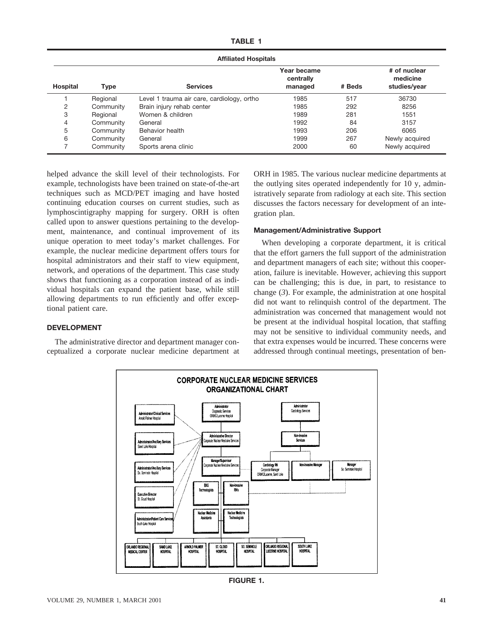| <b>Affiliated Hospitals</b> |             |                                            |                                     |        |                                          |  |  |
|-----------------------------|-------------|--------------------------------------------|-------------------------------------|--------|------------------------------------------|--|--|
| Hospital                    | <b>Type</b> | <b>Services</b>                            | Year became<br>centrally<br>managed | # Beds | # of nuclear<br>medicine<br>studies/year |  |  |
|                             | Regional    | Level 1 trauma air care, cardiology, ortho | 1985                                | 517    | 36730                                    |  |  |
| 2                           | Community   | Brain injury rehab center                  | 1985                                | 292    | 8256                                     |  |  |
| 3                           | Regional    | Women & children                           | 1989                                | 281    | 1551                                     |  |  |
| 4                           | Community   | General                                    | 1992                                | 84     | 3157                                     |  |  |
| 5                           | Community   | Behavior health                            | 1993                                | 206    | 6065                                     |  |  |
| 6                           | Community   | General                                    | 1999                                | 267    | Newly acquired                           |  |  |
|                             | Community   | Sports arena clinic                        | 2000                                | 60     | Newly acquired                           |  |  |

helped advance the skill level of their technologists. For example, technologists have been trained on state-of-the-art techniques such as MCD/PET imaging and have hosted continuing education courses on current studies, such as lymphoscintigraphy mapping for surgery. ORH is often called upon to answer questions pertaining to the development, maintenance, and continual improvement of its unique operation to meet today's market challenges. For example, the nuclear medicine department offers tours for hospital administrators and their staff to view equipment, network, and operations of the department. This case study shows that functioning as a corporation instead of as individual hospitals can expand the patient base, while still allowing departments to run efficiently and offer exceptional patient care.

ORH in 1985. The various nuclear medicine departments at the outlying sites operated independently for 10 y, administratively separate from radiology at each site. This section discusses the factors necessary for development of an integration plan.

#### **Management/Administrative Support**

When developing a corporate department, it is critical that the effort garners the full support of the administration and department managers of each site; without this cooperation, failure is inevitable. However, achieving this support can be challenging; this is due, in part, to resistance to change (*3*). For example, the administration at one hospital did not want to relinquish control of the department. The administration was concerned that management would not be present at the individual hospital location, that staffing may not be sensitive to individual community needs, and that extra expenses would be incurred. These concerns were addressed through continual meetings, presentation of ben-

# **DEVELOPMENT**

The administrative director and department manager conceptualized a corporate nuclear medicine department at



**FIGURE 1.**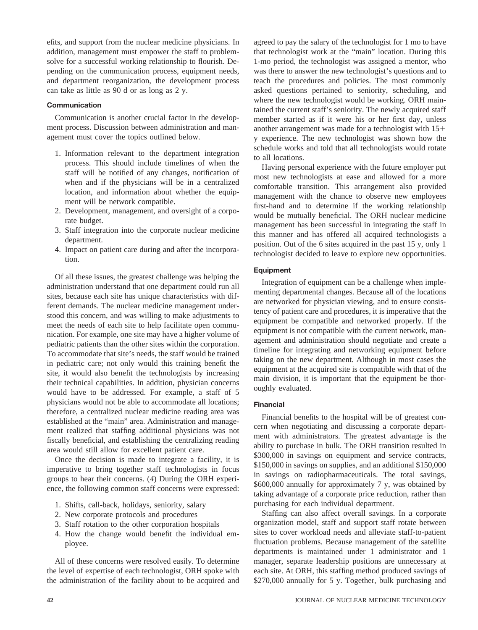efits, and support from the nuclear medicine physicians. In addition, management must empower the staff to problemsolve for a successful working relationship to flourish. Depending on the communication process, equipment needs, and department reorganization, the development process can take as little as 90 d or as long as 2 y.

# **Communication**

Communication is another crucial factor in the development process. Discussion between administration and management must cover the topics outlined below.

- 1. Information relevant to the department integration process. This should include timelines of when the staff will be notified of any changes, notification of when and if the physicians will be in a centralized location, and information about whether the equipment will be network compatible.
- 2. Development, management, and oversight of a corporate budget.
- 3. Staff integration into the corporate nuclear medicine department.
- 4. Impact on patient care during and after the incorporation.

Of all these issues, the greatest challenge was helping the administration understand that one department could run all sites, because each site has unique characteristics with different demands. The nuclear medicine management understood this concern, and was willing to make adjustments to meet the needs of each site to help facilitate open communication. For example, one site may have a higher volume of pediatric patients than the other sites within the corporation. To accommodate that site's needs, the staff would be trained in pediatric care; not only would this training benefit the site, it would also benefit the technologists by increasing their technical capabilities. In addition, physician concerns would have to be addressed. For example, a staff of 5 physicians would not be able to accommodate all locations; therefore, a centralized nuclear medicine reading area was established at the "main" area. Administration and management realized that staffing additional physicians was not fiscally beneficial, and establishing the centralizing reading area would still allow for excellent patient care.

Once the decision is made to integrate a facility, it is imperative to bring together staff technologists in focus groups to hear their concerns. (*4*) During the ORH experience, the following common staff concerns were expressed:

- 1. Shifts, call-back, holidays, seniority, salary
- 2. New corporate protocols and procedures
- 3. Staff rotation to the other corporation hospitals
- 4. How the change would benefit the individual employee.

All of these concerns were resolved easily. To determine the level of expertise of each technologist, ORH spoke with the administration of the facility about to be acquired and

agreed to pay the salary of the technologist for 1 mo to have that technologist work at the "main" location. During this 1-mo period, the technologist was assigned a mentor, who was there to answer the new technologist's questions and to teach the procedures and policies. The most commonly asked questions pertained to seniority, scheduling, and where the new technologist would be working. ORH maintained the current staff's seniority. The newly acquired staff member started as if it were his or her first day, unless another arrangement was made for a technologist with  $15+$ y experience. The new technologist was shown how the schedule works and told that all technologists would rotate to all locations.

Having personal experience with the future employer put most new technologists at ease and allowed for a more comfortable transition. This arrangement also provided management with the chance to observe new employees first-hand and to determine if the working relationship would be mutually beneficial. The ORH nuclear medicine management has been successful in integrating the staff in this manner and has offered all acquired technologists a position. Out of the 6 sites acquired in the past 15 y, only 1 technologist decided to leave to explore new opportunities.

# **Equipment**

Integration of equipment can be a challenge when implementing departmental changes. Because all of the locations are networked for physician viewing, and to ensure consistency of patient care and procedures, it is imperative that the equipment be compatible and networked properly. If the equipment is not compatible with the current network, management and administration should negotiate and create a timeline for integrating and networking equipment before taking on the new department. Although in most cases the equipment at the acquired site is compatible with that of the main division, it is important that the equipment be thoroughly evaluated.

# **Financial**

Financial benefits to the hospital will be of greatest concern when negotiating and discussing a corporate department with administrators. The greatest advantage is the ability to purchase in bulk. The ORH transition resulted in \$300,000 in savings on equipment and service contracts, \$150,000 in savings on supplies, and an additional \$150,000 in savings on radiopharmaceuticals. The total savings, \$600,000 annually for approximately 7 y, was obtained by taking advantage of a corporate price reduction, rather than purchasing for each individual department.

Staffing can also affect overall savings. In a corporate organization model, staff and support staff rotate between sites to cover workload needs and alleviate staff-to-patient fluctuation problems. Because management of the satellite departments is maintained under 1 administrator and 1 manager, separate leadership positions are unnecessary at each site. At ORH, this staffing method produced savings of \$270,000 annually for 5 y. Together, bulk purchasing and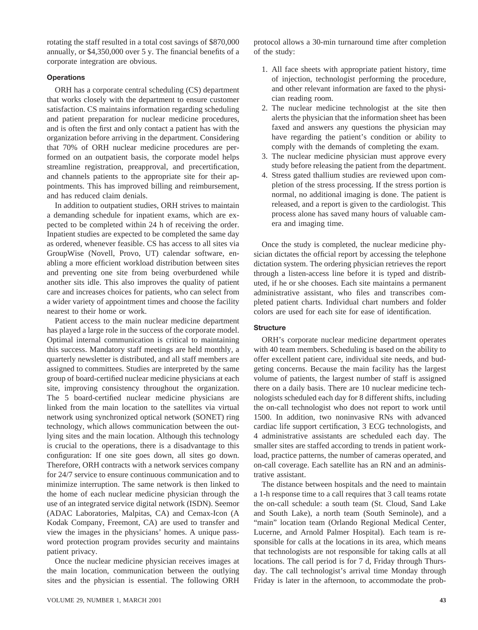rotating the staff resulted in a total cost savings of \$870,000 annually, or \$4,350,000 over 5 y. The financial benefits of a corporate integration are obvious.

#### **Operations**

ORH has a corporate central scheduling (CS) department that works closely with the department to ensure customer satisfaction. CS maintains information regarding scheduling and patient preparation for nuclear medicine procedures, and is often the first and only contact a patient has with the organization before arriving in the department. Considering that 70% of ORH nuclear medicine procedures are performed on an outpatient basis, the corporate model helps streamline registration, preapproval, and precertification, and channels patients to the appropriate site for their appointments. This has improved billing and reimbursement, and has reduced claim denials.

In addition to outpatient studies, ORH strives to maintain a demanding schedule for inpatient exams, which are expected to be completed within 24 h of receiving the order. Inpatient studies are expected to be completed the same day as ordered, whenever feasible. CS has access to all sites via GroupWise (Novell, Provo, UT) calendar software, enabling a more efficient workload distribution between sites and preventing one site from being overburdened while another sits idle. This also improves the quality of patient care and increases choices for patients, who can select from a wider variety of appointment times and choose the facility nearest to their home or work.

Patient access to the main nuclear medicine department has played a large role in the success of the corporate model. Optimal internal communication is critical to maintaining this success. Mandatory staff meetings are held monthly, a quarterly newsletter is distributed, and all staff members are assigned to committees. Studies are interpreted by the same group of board-certified nuclear medicine physicians at each site, improving consistency throughout the organization. The 5 board-certified nuclear medicine physicians are linked from the main location to the satellites via virtual network using synchronized optical network (SONET) ring technology, which allows communication between the outlying sites and the main location. Although this technology is crucial to the operations, there is a disadvantage to this configuration: If one site goes down, all sites go down. Therefore, ORH contracts with a network services company for 24/7 service to ensure continuous communication and to minimize interruption. The same network is then linked to the home of each nuclear medicine physician through the use of an integrated service digital network (ISDN). Seemor (ADAC Laboratories, Malpitas, CA) and Cemax-Icon (A Kodak Company, Freemont, CA) are used to transfer and view the images in the physicians' homes. A unique password protection program provides security and maintains patient privacy.

Once the nuclear medicine physician receives images at the main location, communication between the outlying sites and the physician is essential. The following ORH

protocol allows a 30-min turnaround time after completion of the study:

- 1. All face sheets with appropriate patient history, time of injection, technologist performing the procedure, and other relevant information are faxed to the physician reading room.
- 2. The nuclear medicine technologist at the site then alerts the physician that the information sheet has been faxed and answers any questions the physician may have regarding the patient's condition or ability to comply with the demands of completing the exam.
- 3. The nuclear medicine physician must approve every study before releasing the patient from the department.
- 4. Stress gated thallium studies are reviewed upon completion of the stress processing. If the stress portion is normal, no additional imaging is done. The patient is released, and a report is given to the cardiologist. This process alone has saved many hours of valuable camera and imaging time.

Once the study is completed, the nuclear medicine physician dictates the official report by accessing the telephone dictation system. The ordering physician retrieves the report through a listen-access line before it is typed and distributed, if he or she chooses. Each site maintains a permanent administrative assistant, who files and transcribes completed patient charts. Individual chart numbers and folder colors are used for each site for ease of identification.

# **Structure**

ORH's corporate nuclear medicine department operates with 40 team members. Scheduling is based on the ability to offer excellent patient care, individual site needs, and budgeting concerns. Because the main facility has the largest volume of patients, the largest number of staff is assigned there on a daily basis. There are 10 nuclear medicine technologists scheduled each day for 8 different shifts, including the on-call technologist who does not report to work until 1500. In addition, two noninvasive RNs with advanced cardiac life support certification, 3 ECG technologists, and 4 administrative assistants are scheduled each day. The smaller sites are staffed according to trends in patient workload, practice patterns, the number of cameras operated, and on-call coverage. Each satellite has an RN and an administrative assistant.

The distance between hospitals and the need to maintain a 1-h response time to a call requires that 3 call teams rotate the on-call schedule: a south team (St. Cloud, Sand Lake and South Lake), a north team (South Seminole), and a "main" location team (Orlando Regional Medical Center, Lucerne, and Arnold Palmer Hospital). Each team is responsible for calls at the locations in its area, which means that technologists are not responsible for taking calls at all locations. The call period is for 7 d, Friday through Thursday. The call technologist's arrival time Monday through Friday is later in the afternoon, to accommodate the prob-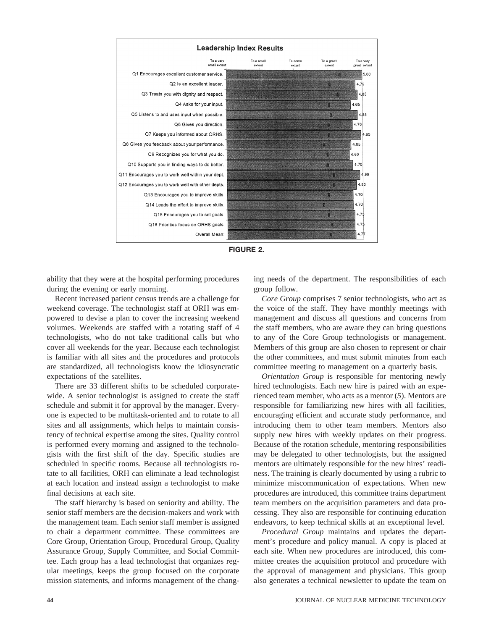



ability that they were at the hospital performing procedures during the evening or early morning.

Recent increased patient census trends are a challenge for weekend coverage. The technologist staff at ORH was empowered to devise a plan to cover the increasing weekend volumes. Weekends are staffed with a rotating staff of 4 technologists, who do not take traditional calls but who cover all weekends for the year. Because each technologist is familiar with all sites and the procedures and protocols are standardized, all technologists know the idiosyncratic expectations of the satellites.

There are 33 different shifts to be scheduled corporatewide. A senior technologist is assigned to create the staff schedule and submit it for approval by the manager. Everyone is expected to be multitask-oriented and to rotate to all sites and all assignments, which helps to maintain consistency of technical expertise among the sites. Quality control is performed every morning and assigned to the technologists with the first shift of the day. Specific studies are scheduled in specific rooms. Because all technologists rotate to all facilities, ORH can eliminate a lead technologist at each location and instead assign a technologist to make final decisions at each site.

The staff hierarchy is based on seniority and ability. The senior staff members are the decision-makers and work with the management team. Each senior staff member is assigned to chair a department committee. These committees are Core Group, Orientation Group, Procedural Group, Quality Assurance Group, Supply Committee, and Social Committee. Each group has a lead technologist that organizes regular meetings, keeps the group focused on the corporate mission statements, and informs management of the changing needs of the department. The responsibilities of each group follow.

*Core Group* comprises 7 senior technologists, who act as the voice of the staff. They have monthly meetings with management and discuss all questions and concerns from the staff members, who are aware they can bring questions to any of the Core Group technologists or management. Members of this group are also chosen to represent or chair the other committees, and must submit minutes from each committee meeting to management on a quarterly basis.

*Orientation Group* is responsible for mentoring newly hired technologists. Each new hire is paired with an experienced team member, who acts as a mentor (*5*). Mentors are responsible for familiarizing new hires with all facilities, encouraging efficient and accurate study performance, and introducing them to other team members. Mentors also supply new hires with weekly updates on their progress. Because of the rotation schedule, mentoring responsibilities may be delegated to other technologists, but the assigned mentors are ultimately responsible for the new hires' readiness. The training is clearly documented by using a rubric to minimize miscommunication of expectations. When new procedures are introduced, this committee trains department team members on the acquisition parameters and data processing. They also are responsible for continuing education endeavors, to keep technical skills at an exceptional level.

*Procedural Group* maintains and updates the department's procedure and policy manual. A copy is placed at each site. When new procedures are introduced, this committee creates the acquisition protocol and procedure with the approval of management and physicians. This group also generates a technical newsletter to update the team on